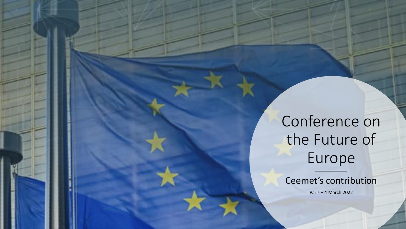Conference on the Future of Europe

Ceemet's contribution

Paris – 4 March 2022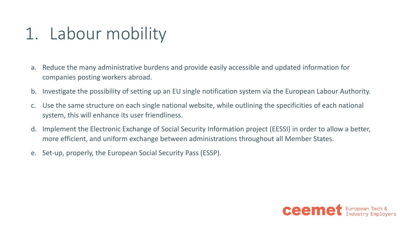## 1. Labour mobility

- a. Reduce the many administrative burdens and provide easily accessible and updated information for companies posting workers abroad.
- b. Investigate the possibility of setting up an EU single notification system via the European Labour Authority.
- c. Use the same structure on each single national website, while outlining the specificities of each national system, this will enhance its user friendliness.
- d. Implement the Electronic Exchange of Social Security Information project (EESSI) in order to allow a better, more efficient, and uniform exchange between administrations throughout all Member States.
- e. Set-up, properly, the European Social Security Pass (ESSP).

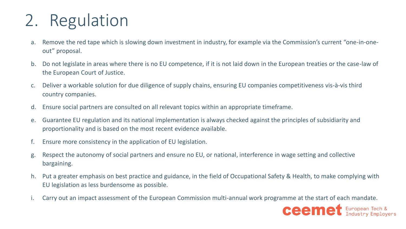## 2. Regulation

- a. Remove the red tape which is slowing down investment in industry, for example via the Commission's current "one-in-oneout" proposal.
- b. Do not legislate in areas where there is no EU competence, if it is not laid down in the European treaties or the case-law of the European Court of Justice.
- c. Deliver a workable solution for due diligence of supply chains, ensuring EU companies competitiveness vis-à-vis third country companies.
- d. Ensure social partners are consulted on all relevant topics within an appropriate timeframe.
- e. Guarantee EU regulation and its national implementation is always checked against the principles of subsidiarity and proportionality and is based on the most recent evidence available.
- f. Ensure more consistency in the application of EU legislation.
- g. Respect the autonomy of social partners and ensure no EU, or national, interference in wage setting and collective bargaining.
- h. Put a greater emphasis on best practice and guidance, in the field of Occupational Safety & Health, to make complying with EU legislation as less burdensome as possible.
- i. Carry out an impact assessment of the European Commission multi-annual work programme at the start of each mandate.